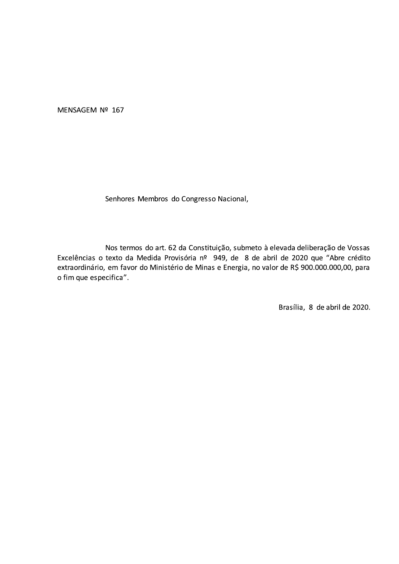MENSAGEM Nº 167

Senhores Membros do Congresso Nacional,

Nos termos do art. 62 da Constituição, submeto à elevada deliberação de Vossas Excelências o texto da Medida Provisória nº 949, de 8 de abril de 2020 que "Abre crédito extraordinário, em favor do Ministério de Minas e Energia, no valor de R\$ 900.000.000,00, para o fim que especifica".

Brasília, 8 de abril de 2020.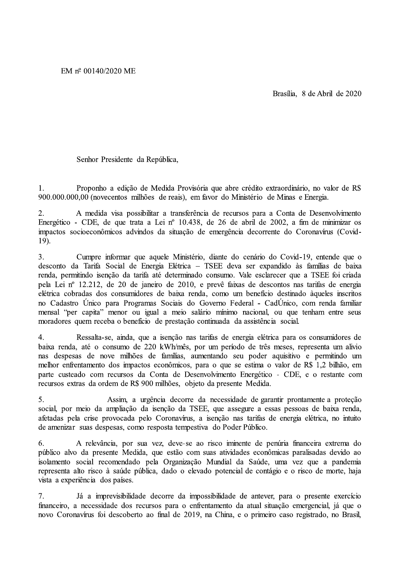Brasília. 8 de Abril de 2020

Senhor Presidente da República,

Proponho a edição de Medida Provisória que abre crédito extraordinário, no valor de R\$  $\mathbf{1}$ . 900,000,000,00 (novecentos milhões de reais), em favor do Ministério de Minas e Energia.

A medida visa possibilitar a transferência de recursos para a Conta de Desenvolvimento 2. Energético - CDE, de que trata a Lei nº 10.438, de 26 de abril de 2002, a fim de minimizar os impactos socioeconômicos advindos da situação de emergência decorrente do Coronavírus (Covid-19).

Cumpre informar que aquele Ministério, diante do cenário do Covid-19, entende que o  $3.$ desconto da Tarifa Social de Energia Elétrica - TSEE deva ser expandido às famílias de baixa renda, permitindo isenção da tarifa até determinado consumo. Vale esclarecer que a TSEE foi criada pela Lei nº 12.212, de 20 de janeiro de 2010, e prevê faixas de descontos nas tarifas de energia elétrica cobradas dos consumidores de baixa renda, como um beneficio destinado àqueles inscritos no Cadastro Único para Programas Sociais do Governo Federal - CadÚnico, com renda familiar mensal "per capita" menor ou igual a meio salário mínimo nacional, ou que tenham entre seus moradores quem receba o benefício de prestação continuada da assistência social.

 $\overline{4}$ . Ressalta-se, ainda, que a isenção nas tarifas de energia elétrica para os consumidores de baixa renda, até o consumo de 220 kWh/mês, por um período de três meses, representa um alivio nas despesas de nove milhões de famílias, aumentando seu poder aquisitivo e permitindo um melhor enfrentamento dos impactos econômicos, para o que se estima o valor de R\$ 1,2 bilhão, em parte custeado com recursos da Conta de Desenvolvimento Energético - CDE, e o restante com recursos extras da ordem de R\$ 900 milhões, objeto da presente Medida.

5. Assim, a urgência decorre da necessidade de garantir prontamente a proteção social, por meio da ampliação da isenção da TSEE, que assegure a essas pessoas de baixa renda, afetadas pela crise provocada pelo Coronavírus, a isenção nas tarifas de energia elétrica, no intuito de amenizar suas despesas, como resposta tempestiva do Poder Público.

6. A relevância, por sua vez, deve-se ao risco iminente de penúria financeira extrema do público alvo da presente Medida, que estão com suas atividades econômicas paralisadas devido ao isolamento social recomendado pela Organização Mundial da Saúde, uma vez que a pandemia representa alto risco à saúde pública, dado o elevado potencial de contágio e o risco de morte, haja vista a experiência dos países.

 $7.$ Já a imprevisibilidade decorre da impossibilidade de antever, para o presente exercício financeiro, a necessidade dos recursos para o enfrentamento da atual situação emergencial, já que o novo Coronavírus foi descoberto ao final de 2019, na China, e o primeiro caso registrado, no Brasil,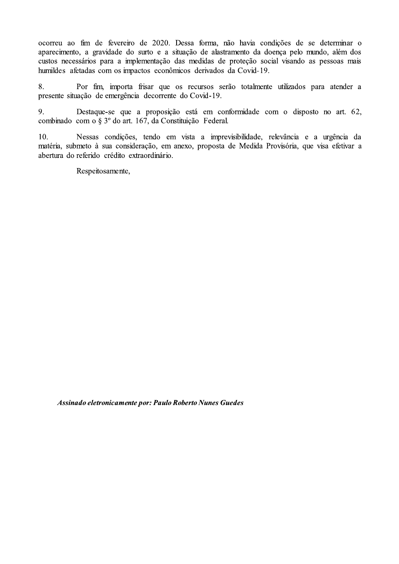ocorreu ao fim de fevereiro de 2020. Dessa forma, não havia condições de se determinar o aparecimento, a gravidade do surto e a situação de alastramento da doença pelo mundo, além dos custos necessários para a implementação das medidas de proteção social visando as pessoas mais humildes afetadas com os impactos econômicos derivados da Covid-19.

8. Por fim, importa frisar que os recursos serão totalmente utilizados para atender a presente situação de emergência decorrente do Covid-19.

9. Destaque-se que a proposição está em conformidade com o disposto no art. 62, combinado com o § 3º do art. 167, da Constituição Federal.

Nessas condições, tendo em vista a imprevisibilidade, relevância e a urgência da  $10.$ matéria, submeto à sua consideração, em anexo, proposta de Medida Provisória, que visa efetivar a abertura do referido crédito extraordinário.

Respeitosamente,

Assinado eletronicamente por: Paulo Roberto Nunes Guedes